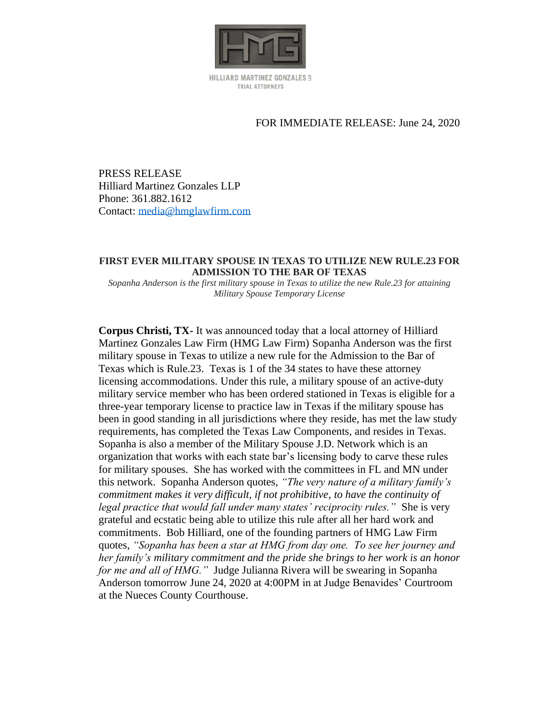

HILLIARD MARTINEZ GONZALES 5 TRIAL ATTORNEYS

## FOR IMMEDIATE RELEASE: June 24, 2020

PRESS RELEASE Hilliard Martinez Gonzales LLP Phone: 361.882.1612 Contact: [media@hmglawfirm.com](mailto:media@hmglawfirm.com)

## **FIRST EVER MILITARY SPOUSE IN TEXAS TO UTILIZE NEW RULE.23 FOR ADMISSION TO THE BAR OF TEXAS**

*Sopanha Anderson is the first military spouse in Texas to utilize the new Rule.23 for attaining Military Spouse Temporary License*

**Corpus Christi, TX-** It was announced today that a local attorney of Hilliard Martinez Gonzales Law Firm (HMG Law Firm) Sopanha Anderson was the first military spouse in Texas to utilize a new rule for the Admission to the Bar of Texas which is Rule.23. Texas is 1 of the 34 states to have these attorney licensing accommodations. Under this rule, a military spouse of an active-duty military service member who has been ordered stationed in Texas is eligible for a three-year temporary license to practice law in Texas if the military spouse has been in good standing in all jurisdictions where they reside, has met the law study requirements, has completed the Texas Law Components, and resides in Texas. Sopanha is also a member of the Military Spouse J.D. Network which is an organization that works with each state bar's licensing body to carve these rules for military spouses. She has worked with the committees in FL and MN under this network. Sopanha Anderson quotes, *"The very nature of a military family's commitment makes it very difficult, if not prohibitive, to have the continuity of legal practice that would fall under many states' reciprocity rules."* She is very grateful and ecstatic being able to utilize this rule after all her hard work and commitments. Bob Hilliard, one of the founding partners of HMG Law Firm quotes, *"Sopanha has been a star at HMG from day one. To see her journey and her family's military commitment and the pride she brings to her work is an honor for me and all of HMG."* Judge Julianna Rivera will be swearing in Sopanha Anderson tomorrow June 24, 2020 at 4:00PM in at Judge Benavides' Courtroom at the Nueces County Courthouse.